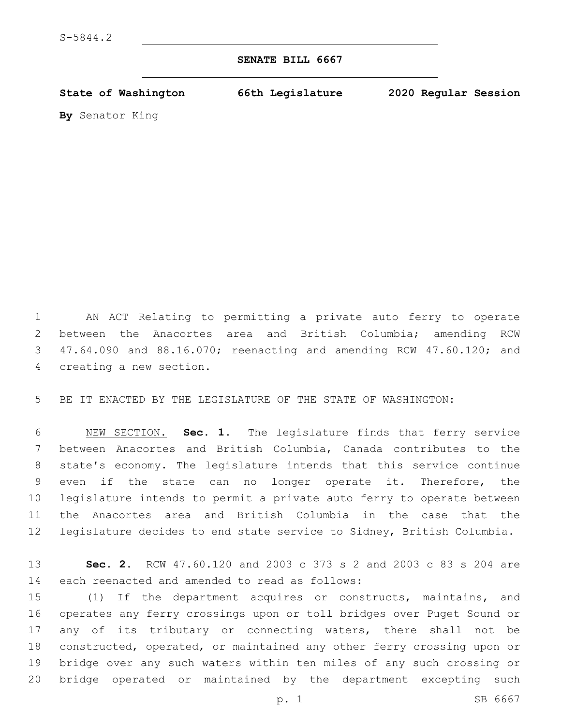## **SENATE BILL 6667**

**State of Washington 66th Legislature 2020 Regular Session**

**By** Senator King

 AN ACT Relating to permitting a private auto ferry to operate 2 between the Anacortes area and British Columbia; amending RCW 47.64.090 and 88.16.070; reenacting and amending RCW 47.60.120; and 4 creating a new section.

BE IT ENACTED BY THE LEGISLATURE OF THE STATE OF WASHINGTON:

 NEW SECTION. **Sec. 1.** The legislature finds that ferry service between Anacortes and British Columbia, Canada contributes to the state's economy. The legislature intends that this service continue even if the state can no longer operate it. Therefore, the legislature intends to permit a private auto ferry to operate between the Anacortes area and British Columbia in the case that the legislature decides to end state service to Sidney, British Columbia.

 **Sec. 2.** RCW 47.60.120 and 2003 c 373 s 2 and 2003 c 83 s 204 are 14 each reenacted and amended to read as follows:

 (1) If the department acquires or constructs, maintains, and operates any ferry crossings upon or toll bridges over Puget Sound or any of its tributary or connecting waters, there shall not be constructed, operated, or maintained any other ferry crossing upon or bridge over any such waters within ten miles of any such crossing or bridge operated or maintained by the department excepting such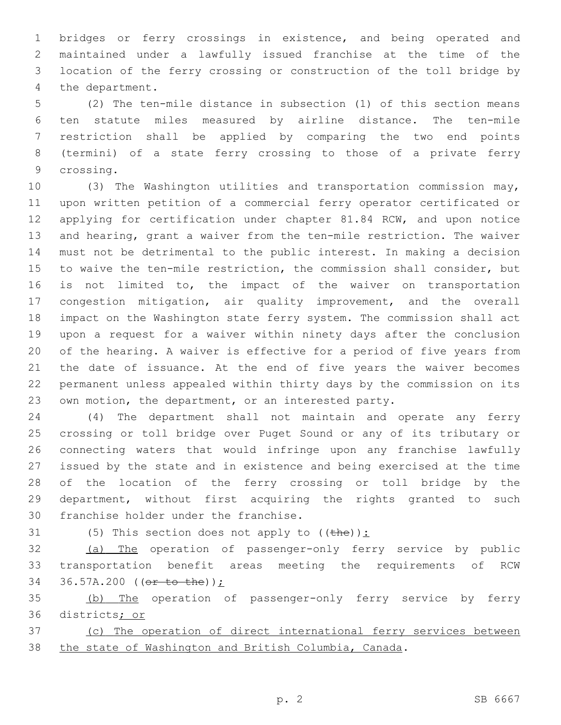bridges or ferry crossings in existence, and being operated and maintained under a lawfully issued franchise at the time of the location of the ferry crossing or construction of the toll bridge by 4 the department.

 (2) The ten-mile distance in subsection (1) of this section means ten statute miles measured by airline distance. The ten-mile restriction shall be applied by comparing the two end points (termini) of a state ferry crossing to those of a private ferry 9 crossing.

 (3) The Washington utilities and transportation commission may, upon written petition of a commercial ferry operator certificated or applying for certification under chapter 81.84 RCW, and upon notice and hearing, grant a waiver from the ten-mile restriction. The waiver must not be detrimental to the public interest. In making a decision to waive the ten-mile restriction, the commission shall consider, but is not limited to, the impact of the waiver on transportation congestion mitigation, air quality improvement, and the overall impact on the Washington state ferry system. The commission shall act upon a request for a waiver within ninety days after the conclusion of the hearing. A waiver is effective for a period of five years from the date of issuance. At the end of five years the waiver becomes permanent unless appealed within thirty days by the commission on its own motion, the department, or an interested party.

 (4) The department shall not maintain and operate any ferry crossing or toll bridge over Puget Sound or any of its tributary or connecting waters that would infringe upon any franchise lawfully issued by the state and in existence and being exercised at the time of the location of the ferry crossing or toll bridge by the department, without first acquiring the rights granted to such 30 franchise holder under the franchise.

31 (5) This section does not apply to  $(\theta)$ :

 (a) The operation of passenger-only ferry service by public transportation benefit areas meeting the requirements of RCW 36.57A.200 ((or to the));

 (b) The operation of passenger-only ferry service by ferry districts; or

 (c) The operation of direct international ferry services between the state of Washington and British Columbia, Canada.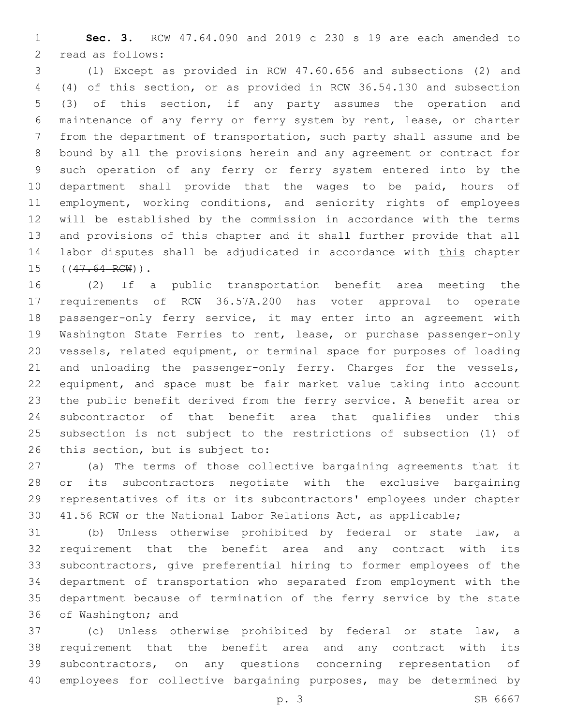**Sec. 3.** RCW 47.64.090 and 2019 c 230 s 19 are each amended to 2 read as follows:

 (1) Except as provided in RCW 47.60.656 and subsections (2) and (4) of this section, or as provided in RCW 36.54.130 and subsection (3) of this section, if any party assumes the operation and maintenance of any ferry or ferry system by rent, lease, or charter from the department of transportation, such party shall assume and be bound by all the provisions herein and any agreement or contract for such operation of any ferry or ferry system entered into by the department shall provide that the wages to be paid, hours of employment, working conditions, and seniority rights of employees will be established by the commission in accordance with the terms and provisions of this chapter and it shall further provide that all 14 labor disputes shall be adjudicated in accordance with this chapter 15 ((47.64 RCW)).

 (2) If a public transportation benefit area meeting the requirements of RCW 36.57A.200 has voter approval to operate passenger-only ferry service, it may enter into an agreement with Washington State Ferries to rent, lease, or purchase passenger-only vessels, related equipment, or terminal space for purposes of loading 21 and unloading the passenger-only ferry. Charges for the vessels, equipment, and space must be fair market value taking into account the public benefit derived from the ferry service. A benefit area or subcontractor of that benefit area that qualifies under this subsection is not subject to the restrictions of subsection (1) of 26 this section, but is subject to:

 (a) The terms of those collective bargaining agreements that it or its subcontractors negotiate with the exclusive bargaining representatives of its or its subcontractors' employees under chapter 41.56 RCW or the National Labor Relations Act, as applicable;

 (b) Unless otherwise prohibited by federal or state law, a requirement that the benefit area and any contract with its subcontractors, give preferential hiring to former employees of the department of transportation who separated from employment with the department because of termination of the ferry service by the state 36 of Washington; and

 (c) Unless otherwise prohibited by federal or state law, a requirement that the benefit area and any contract with its subcontractors, on any questions concerning representation of employees for collective bargaining purposes, may be determined by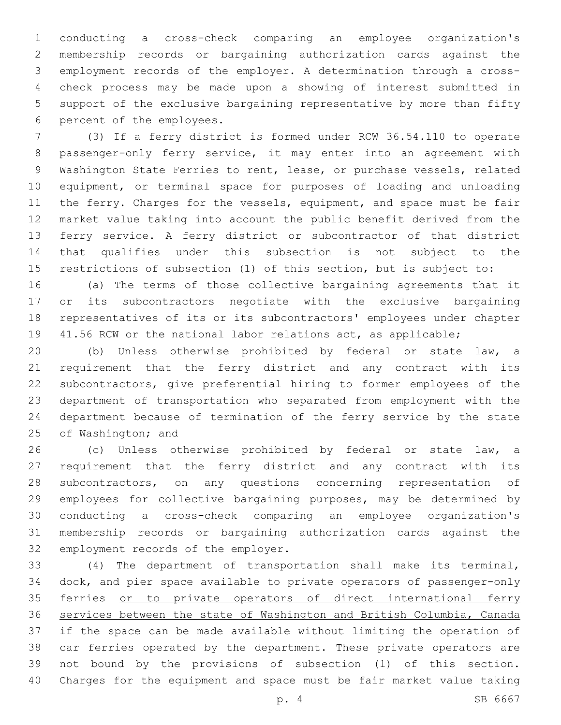conducting a cross-check comparing an employee organization's membership records or bargaining authorization cards against the employment records of the employer. A determination through a cross- check process may be made upon a showing of interest submitted in support of the exclusive bargaining representative by more than fifty 6 percent of the employees.

 (3) If a ferry district is formed under RCW 36.54.110 to operate passenger-only ferry service, it may enter into an agreement with Washington State Ferries to rent, lease, or purchase vessels, related equipment, or terminal space for purposes of loading and unloading 11 the ferry. Charges for the vessels, equipment, and space must be fair market value taking into account the public benefit derived from the ferry service. A ferry district or subcontractor of that district that qualifies under this subsection is not subject to the restrictions of subsection (1) of this section, but is subject to:

 (a) The terms of those collective bargaining agreements that it or its subcontractors negotiate with the exclusive bargaining representatives of its or its subcontractors' employees under chapter 41.56 RCW or the national labor relations act, as applicable;

 (b) Unless otherwise prohibited by federal or state law, a requirement that the ferry district and any contract with its subcontractors, give preferential hiring to former employees of the department of transportation who separated from employment with the department because of termination of the ferry service by the state 25 of Washington; and

 (c) Unless otherwise prohibited by federal or state law, a requirement that the ferry district and any contract with its subcontractors, on any questions concerning representation of employees for collective bargaining purposes, may be determined by conducting a cross-check comparing an employee organization's membership records or bargaining authorization cards against the 32 employment records of the employer.

 (4) The department of transportation shall make its terminal, dock, and pier space available to private operators of passenger-only 35 ferries or to private operators of direct international ferry services between the state of Washington and British Columbia, Canada if the space can be made available without limiting the operation of car ferries operated by the department. These private operators are not bound by the provisions of subsection (1) of this section. Charges for the equipment and space must be fair market value taking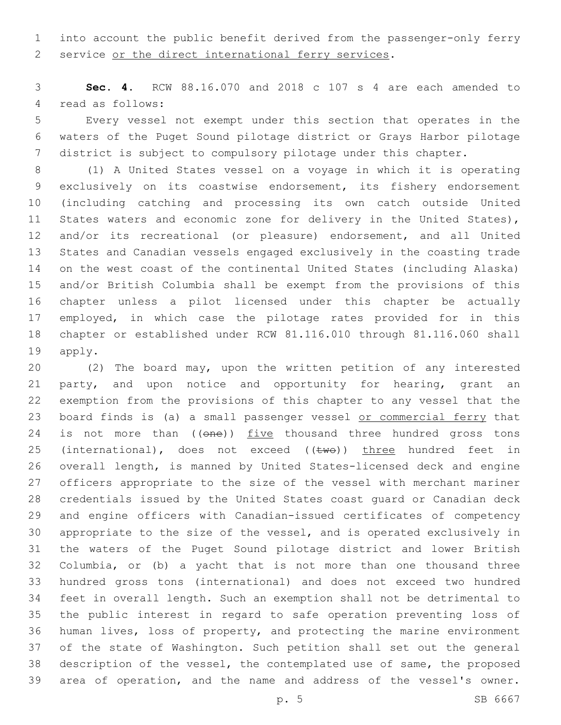into account the public benefit derived from the passenger-only ferry service or the direct international ferry services.

 **Sec. 4.** RCW 88.16.070 and 2018 c 107 s 4 are each amended to 4 read as follows:

 Every vessel not exempt under this section that operates in the waters of the Puget Sound pilotage district or Grays Harbor pilotage district is subject to compulsory pilotage under this chapter.

 (1) A United States vessel on a voyage in which it is operating exclusively on its coastwise endorsement, its fishery endorsement (including catching and processing its own catch outside United States waters and economic zone for delivery in the United States), and/or its recreational (or pleasure) endorsement, and all United States and Canadian vessels engaged exclusively in the coasting trade on the west coast of the continental United States (including Alaska) and/or British Columbia shall be exempt from the provisions of this chapter unless a pilot licensed under this chapter be actually employed, in which case the pilotage rates provided for in this chapter or established under RCW 81.116.010 through 81.116.060 shall 19 apply.

 (2) The board may, upon the written petition of any interested party, and upon notice and opportunity for hearing, grant an exemption from the provisions of this chapter to any vessel that the 23 board finds is (a) a small passenger vessel or commercial ferry that 24 is not more than ((one)) five thousand three hundred gross tons 25 (international), does not exceed  $((\text{two}))$  three hundred feet in overall length, is manned by United States-licensed deck and engine officers appropriate to the size of the vessel with merchant mariner credentials issued by the United States coast guard or Canadian deck and engine officers with Canadian-issued certificates of competency appropriate to the size of the vessel, and is operated exclusively in the waters of the Puget Sound pilotage district and lower British Columbia, or (b) a yacht that is not more than one thousand three hundred gross tons (international) and does not exceed two hundred feet in overall length. Such an exemption shall not be detrimental to the public interest in regard to safe operation preventing loss of human lives, loss of property, and protecting the marine environment of the state of Washington. Such petition shall set out the general description of the vessel, the contemplated use of same, the proposed area of operation, and the name and address of the vessel's owner.

p. 5 SB 6667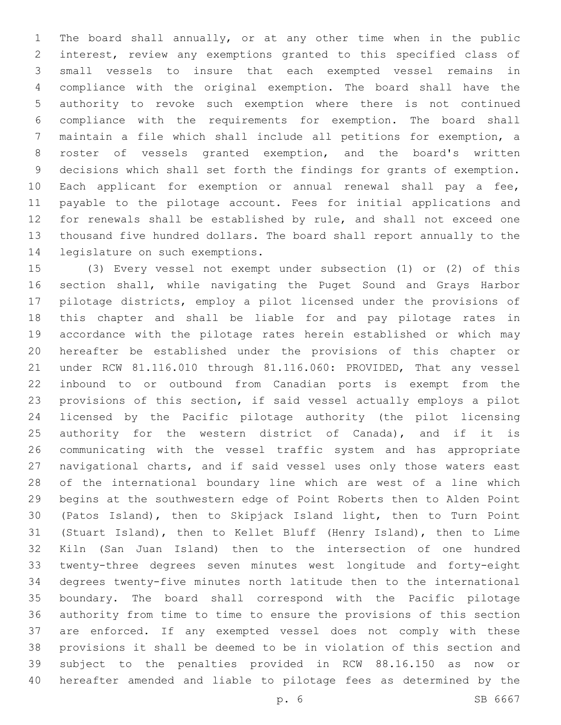The board shall annually, or at any other time when in the public interest, review any exemptions granted to this specified class of small vessels to insure that each exempted vessel remains in compliance with the original exemption. The board shall have the authority to revoke such exemption where there is not continued compliance with the requirements for exemption. The board shall maintain a file which shall include all petitions for exemption, a roster of vessels granted exemption, and the board's written decisions which shall set forth the findings for grants of exemption. Each applicant for exemption or annual renewal shall pay a fee, payable to the pilotage account. Fees for initial applications and for renewals shall be established by rule, and shall not exceed one thousand five hundred dollars. The board shall report annually to the 14 legislature on such exemptions.

 (3) Every vessel not exempt under subsection (1) or (2) of this section shall, while navigating the Puget Sound and Grays Harbor pilotage districts, employ a pilot licensed under the provisions of this chapter and shall be liable for and pay pilotage rates in accordance with the pilotage rates herein established or which may hereafter be established under the provisions of this chapter or under RCW 81.116.010 through 81.116.060: PROVIDED, That any vessel inbound to or outbound from Canadian ports is exempt from the provisions of this section, if said vessel actually employs a pilot licensed by the Pacific pilotage authority (the pilot licensing 25 authority for the western district of Canada), and if it is communicating with the vessel traffic system and has appropriate navigational charts, and if said vessel uses only those waters east of the international boundary line which are west of a line which begins at the southwestern edge of Point Roberts then to Alden Point (Patos Island), then to Skipjack Island light, then to Turn Point (Stuart Island), then to Kellet Bluff (Henry Island), then to Lime Kiln (San Juan Island) then to the intersection of one hundred twenty-three degrees seven minutes west longitude and forty-eight degrees twenty-five minutes north latitude then to the international boundary. The board shall correspond with the Pacific pilotage authority from time to time to ensure the provisions of this section are enforced. If any exempted vessel does not comply with these provisions it shall be deemed to be in violation of this section and subject to the penalties provided in RCW 88.16.150 as now or hereafter amended and liable to pilotage fees as determined by the